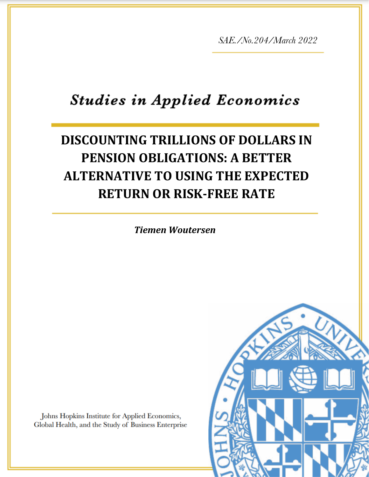*SAE./No.204/March 2022*

# **Studies in Applied Economics**

## *Ambika Kandasamy* **DISCOUNTING TRILLIONS OF DOLLARS IN PENSION OBLIGATIONS: A BETTER ALTERNATIVE TO USING THE EXPECTED RETURN OR RISK-FREE RATE**

*Tiemen Woutersen*

Johns Hopkins Institute for Applied Economics, Global Health, and the Study of Business Enterprise

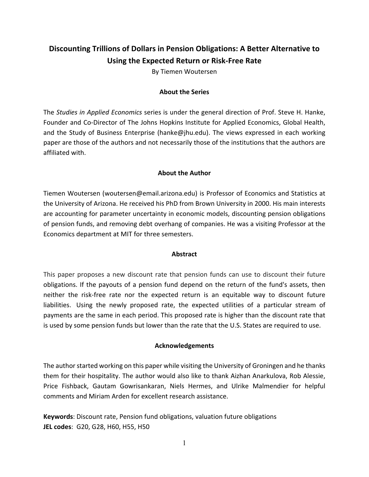### **Discounting Trillions of Dollars in Pension Obligations: A Better Alternative to Using the Expected Return or Risk-Free Rate**

By Tiemen Woutersen

#### **About the Series**

The *Studies in Applied Economics* series is under the general direction of Prof. Steve H. Hanke, Founder and Co-Director of The Johns Hopkins Institute for Applied Economics, Global Health, and the Study of Business Enterprise (hanke@jhu.edu). The views expressed in each working paper are those of the authors and not necessarily those of the institutions that the authors are affiliated with.

#### **About the Author**

Tiemen Woutersen (woutersen@email.arizona.edu) is Professor of Economics and Statistics at the University of Arizona. He received his PhD from Brown University in 2000. His main interests are accounting for parameter uncertainty in economic models, discounting pension obligations of pension funds, and removing debt overhang of companies. He was a visiting Professor at the Economics department at MIT for three semesters.

#### **Abstract**

This paper proposes a new discount rate that pension funds can use to discount their future obligations. If the payouts of a pension fund depend on the return of the fund's assets, then neither the risk-free rate nor the expected return is an equitable way to discount future liabilities. Using the newly proposed rate, the expected utilities of a particular stream of payments are the same in each period. This proposed rate is higher than the discount rate that is used by some pension funds but lower than the rate that the U.S. States are required to use.

#### **Acknowledgements**

The author started working on this paper while visiting the University of Groningen and he thanks them for their hospitality. The author would also like to thank Aizhan Anarkulova, Rob Alessie, Price Fishback, Gautam Gowrisankaran, Niels Hermes, and Ulrike Malmendier for helpful comments and Miriam Arden for excellent research assistance.

**Keywords**: Discount rate, Pension fund obligations, valuation future obligations **JEL codes**: G20, G28, H60, H55, H50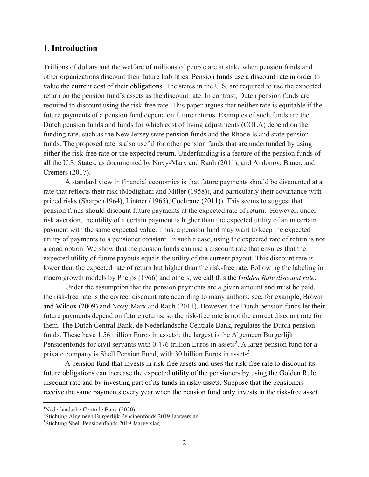#### **1. Introduction**

Trillions of dollars and the welfare of millions of people are at stake when pension funds and other organizations discount their future liabilities. Pension funds use a discount rate in order to value the current cost of their obligations. The states in the U.S. are required to use the expected return on the pension fund's assets as the discount rate. In contrast, Dutch pension funds are required to discount using the risk-free rate. This paper argues that neither rate is equitable if the future payments of a pension fund depend on future returns. Examples of such funds are the Dutch pension funds and funds for which cost of living adjustments (COLA) depend on the funding rate, such as the New Jersey state pension funds and the Rhode Island state pension funds. The proposed rate is also useful for other pension funds that are underfunded by using either the risk-free rate or the expected return. Underfunding is a feature of the pension funds of all the U.S. States, as documented by Novy-Marx and Rauh (2011), and Andonov, Bauer, and Cremers (2017).

A standard view in financial economics is that future payments should be discounted at a rate that reflects their risk (Modigliani and Miller (1958)), and particularly their covariance with priced risks (Sharpe (1964), Lintner (1965), Cochrane (2011)). This seems to suggest that pension funds should discount future payments at the expected rate of return. However, under risk aversion, the utility of a certain payment is higher than the expected utility of an uncertain payment with the same expected value. Thus, a pension fund may want to keep the expected utility of payments to a pensioner constant. In such a case, using the expected rate of return is not a good option. We show that the pension funds can use a discount rate that ensures that the expected utility of future payouts equals the utility of the current payout. This discount rate is lower than the expected rate of return but higher than the risk-free rate. Following the labeling in macro growth models by Phelps (1966) and others, we call this the *Golden Rule discount rate*.

Under the assumption that the pension payments are a given amount and must be paid, the risk-free rate is the correct discount rate according to many authors; see, for example, Brown and Wilcox (2009) and Novy-Marx and Rauh (2011). However, the Dutch pension funds let their future payments depend on future returns, so the risk-free rate is not the correct discount rate for them. The Dutch Central Bank, de Nederlandsche Centrale Bank, regulates the Dutch pension funds. These have  $1.56$  trillion Euros in assets<sup>1</sup>; the largest is the Algemeen Burgerlijk Pensioenfonds for civil servants with 0.476 trillion Euros in assets<sup>2</sup>. A large pension fund for a private company is Shell Pension Fund, with 30 billion Euros in assets<sup>3</sup>.

A pension fund that invests in risk-free assets and uses the risk-free rate to discount its future obligations can increase the expected utility of the pensioners by using the Golden Rule discount rate and by investing part of its funds in risky assets. Suppose that the pensioners receive the same payments every year when the pension fund only invests in the risk-free asset.

<sup>1</sup> Nederlandsche Centrale Bank (2020)

<sup>&</sup>lt;sup>2</sup>Stichting Algemeen Burgerlijk Pensioenfonds 2019 Jaarverslag.

<sup>&</sup>lt;sup>3</sup>Stichting Shell Pensioenfonds 2019 Jaarverslag.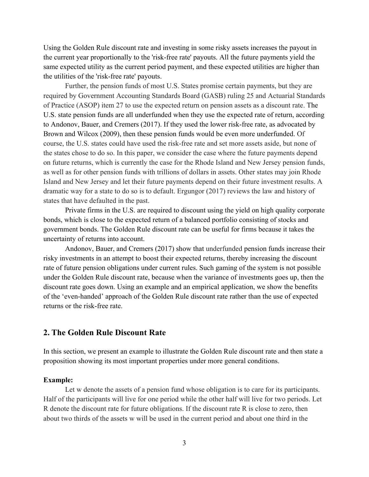Using the Golden Rule discount rate and investing in some risky assets increases the payout in the current year proportionally to the 'risk-free rate' payouts. All the future payments yield the same expected utility as the current period payment, and these expected utilities are higher than the utilities of the 'risk-free rate' payouts.

Further, the pension funds of most U.S. States promise certain payments, but they are required by Government Accounting Standards Board (GASB) ruling 25 and Actuarial Standards of Practice (ASOP) item 27 to use the expected return on pension assets as a discount rate. The U.S. state pension funds are all underfunded when they use the expected rate of return, according to Andonov, Bauer, and Cremers (2017). If they used the lower risk-free rate, as advocated by Brown and Wilcox (2009), then these pension funds would be even more underfunded. Of course, the U.S. states could have used the risk-free rate and set more assets aside, but none of the states chose to do so. In this paper, we consider the case where the future payments depend on future returns, which is currently the case for the Rhode Island and New Jersey pension funds, as well as for other pension funds with trillions of dollars in assets. Other states may join Rhode Island and New Jersey and let their future payments depend on their future investment results. A dramatic way for a state to do so is to default. Ergungor (2017) reviews the law and history of states that have defaulted in the past.

Private firms in the U.S. are required to discount using the yield on high quality corporate bonds, which is close to the expected return of a balanced portfolio consisting of stocks and government bonds. The Golden Rule discount rate can be useful for firms because it takes the uncertainty of returns into account.

Andonov, Bauer, and Cremers (2017) show that underfunded pension funds increase their risky investments in an attempt to boost their expected returns, thereby increasing the discount rate of future pension obligations under current rules. Such gaming of the system is not possible under the Golden Rule discount rate, because when the variance of investments goes up, then the discount rate goes down. Using an example and an empirical application, we show the benefits of the 'even-handed' approach of the Golden Rule discount rate rather than the use of expected returns or the risk-free rate.

#### **2. The Golden Rule Discount Rate**

In this section, we present an example to illustrate the Golden Rule discount rate and then state a proposition showing its most important properties under more general conditions.

#### **Example:**

Let w denote the assets of a pension fund whose obligation is to care for its participants. Half of the participants will live for one period while the other half will live for two periods. Let R denote the discount rate for future obligations. If the discount rate R is close to zero, then about two thirds of the assets w will be used in the current period and about one third in the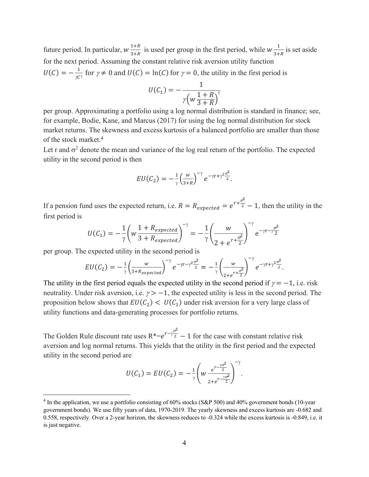future period. In particular,  $w \frac{1+R}{2+R}$  $\frac{1+R}{3+R}$  is used per group in the first period, while  $w\frac{1}{3+R}$  $\frac{1}{3+R}$  is set aside for the next period. Assuming the constant relative risk aversion utility function  $U(C) = -\frac{1}{\gamma C^{\gamma}}$  for  $\gamma \neq 0$  and  $U(C) = \ln(C)$  for  $\gamma = 0$ , the utility in the first period is

$$
U(C_1) = -\frac{1}{\gamma \left(w \frac{1+R}{3+R}\right)^{\gamma}}
$$

per group. Approximating a portfolio using a log normal distribution is standard in finance; see, for example, Bodie, Kane, and Marcus (2017) for using the log normal distribution for stock market returns. The skewness and excess kurtosis of a balanced portfolio are smaller than those of the stock market.4

Let r and  $\sigma^2$  denote the mean and variance of the log real return of the portfolio. The expected utility in the second period is then

$$
EU(C_2) = -\frac{1}{\gamma} \left(\frac{w}{3+R}\right)^{-\gamma} e^{-\gamma r + \gamma^2 \frac{\sigma^2}{2}}.
$$

If a pension fund uses the expected return, i.e.  $R = R_{expected} = e^{r + \frac{\sigma^2}{2}} - 1$ , then the utility in the first period is

$$
U(C_1) = -\frac{1}{\gamma} \left( w \frac{1 + R_{expected}}{3 + R_{expected}} \right)^{-\gamma} = -\frac{1}{\gamma} \left( \frac{w}{2 + e^{r + \frac{\sigma^2}{2}}} \right)^{-\gamma} e^{-\gamma r - \gamma \frac{\sigma^2}{2}}
$$

per group. The expected utility in the second period is

$$
EU(C_2) = -\frac{1}{\gamma} \left( \frac{w}{3 + R_{expected}} \right)^{-\gamma} e^{-\gamma r - \gamma^2 \frac{\sigma^2}{2}} = -\frac{1}{\gamma} \left( \frac{w}{2 + e^{r + \frac{\sigma^2}{2}}} \right)^{-\gamma} e^{-\gamma r + \gamma^2 \frac{\sigma^2}{2}}.
$$

The utility in the first period equals the expected utility in the second period if  $\gamma = -1$ , i.e. risk neutrality. Under risk aversion, i.e.  $\gamma > -1$ , the expected utility is less in the second period. The proposition below shows that  $EU(C_2) < U(C_1)$  under risk aversion for a very large class of utility functions and data-generating processes for portfolio returns.

The Golden Rule discount rate uses  $R^*=e^{r-\gamma \frac{\sigma^2}{2}}$  $\sqrt{2}$  – 1 for the case with constant relative risk aversion and log normal returns. This yields that the utility in the first period and the expected utility in the second period are

$$
U(C_1) = EU(C_2) = -\frac{1}{\gamma} \left( w \frac{e^{r - \frac{\gamma \sigma^2}{2}}}{2 + e^{r - \frac{\gamma \sigma^2}{2}}} \right)^{-\gamma}.
$$

<sup>&</sup>lt;sup>4</sup> In the application, we use a portfolio consisting of 60% stocks (S&P 500) and 40% government bonds (10-year government bonds). We use fifty years of data, 1970-2019. The yearly skewness and excess kurtosis are -0.682 and 0.558, respectively. Over a 2-year horizon, the skewness reduces to -0.324 while the excess kurtosis is -0.849, i.e. it is just negative.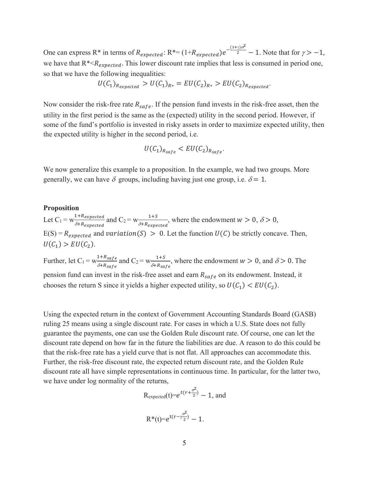One can express R<sup>\*</sup> in terms of  $R_{expected}$ : R<sup>\*</sup>= (1+ $R_{expected}$ )e<sup>- $\frac{(1+\gamma)\sigma^2}{2}$ </sup> - 1. Note that for  $\gamma$ > -1, we have that  $R^{*} < R_{expected}$ . This lower discount rate implies that less is consumed in period one, so that we have the following inequalities:

$$
U(C_1)_{R_{expected}} > U(C_1)_{R*} = EU(C_2)_{R*} > EU(C_2)_{R_{expected}}.
$$

Now consider the risk-free rate  $R_{safe}$ . If the pension fund invests in the risk-free asset, then the utility in the first period is the same as the (expected) utility in the second period. However, if some of the fund's portfolio is invested in risky assets in order to maximize expected utility, then the expected utility is higher in the second period, i.e.

$$
U(C_1)_{R_{safe}} < EU(C_2)_{R_{safe}}.
$$

We now generalize this example to a proposition. In the example, we had two groups. More generally, we can have  $\delta$  groups, including having just one group, i.e.  $\delta = 1$ .

#### **Proposition**

Let  $C_1 = w \frac{1+R_{expected}}{S_1 R}$  $\frac{1+ R_{expected}}{\delta+ R_{expected}}$  and  $C_2 = w \frac{1+S}{\delta+ R_{expe}}$  $\frac{1+3}{\delta+R_{expected}}$ , where the endowment  $w > 0$ ,  $\delta > 0$ ,  $E(S) = R_{expected}$  and variation(S) > 0. Let the function  $U(C)$  be strictly concave. Then,  $U(C_1)$  >  $EU(C_2)$ .

Further, let  $C_1 = w \frac{1 + R_{safe}}{S_1 R}$  $\frac{1+R_{safe}}{\delta+R_{safe}}$  and  $C_2 = w \frac{1+S}{\delta+R_{sa}}$  $\frac{1+3}{\delta+R_{safe}}$ , where the endowment  $w > 0$ , and  $\delta > 0$ . The pension fund can invest in the risk-free asset and earn  $R_{safe}$  on its endowment. Instead, it chooses the return S since it yields a higher expected utility, so  $U(C_1) < EU(C_2)$ .

Using the expected return in the context of Government Accounting Standards Board (GASB) ruling 25 means using a single discount rate. For cases in which a U.S. State does not fully guarantee the payments, one can use the Golden Rule discount rate. Of course, one can let the discount rate depend on how far in the future the liabilities are due. A reason to do this could be that the risk-free rate has a yield curve that is not flat. All approaches can accommodate this. Further, the risk-free discount rate, the expected return discount rate, and the Golden Rule discount rate all have simple representations in continuous time. In particular, for the latter two, we have under log normality of the returns,

$$
R_{expected}(t) = e^{t(r + \frac{\sigma^2}{2})} - 1, \text{ and}
$$

$$
R^*(t) = e^{t(r-\gamma \frac{\sigma^2}{2})} - 1.
$$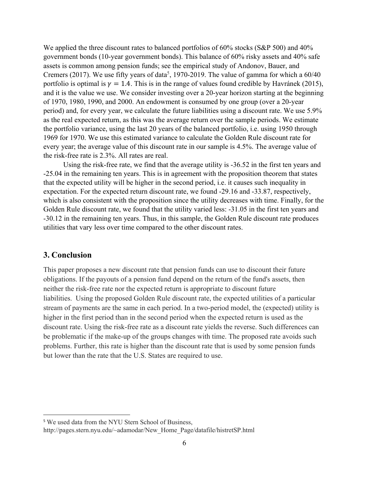We applied the three discount rates to balanced portfolios of 60% stocks (S&P 500) and 40% government bonds (10-year government bonds). This balance of 60% risky assets and 40% safe assets is common among pension funds; see the empirical study of Andonov, Bauer, and Cremers (2017). We use fifty years of data<sup>5</sup>, 1970-2019. The value of gamma for which a  $60/40$ portfolio is optimal is  $\gamma = 1.4$ . This is in the range of values found credible by Havránek (2015), and it is the value we use. We consider investing over a 20-year horizon starting at the beginning of 1970, 1980, 1990, and 2000. An endowment is consumed by one group (over a 20-year period) and, for every year, we calculate the future liabilities using a discount rate. We use 5.9% as the real expected return, as this was the average return over the sample periods. We estimate the portfolio variance, using the last 20 years of the balanced portfolio, i.e. using 1950 through 1969 for 1970. We use this estimated variance to calculate the Golden Rule discount rate for every year; the average value of this discount rate in our sample is 4.5%. The average value of the risk-free rate is 2.3%. All rates are real.

Using the risk-free rate, we find that the average utility is -36.52 in the first ten years and -25.04 in the remaining ten years. This is in agreement with the proposition theorem that states that the expected utility will be higher in the second period, i.e. it causes such inequality in expectation. For the expected return discount rate, we found -29.16 and -33.87, respectively, which is also consistent with the proposition since the utility decreases with time. Finally, for the Golden Rule discount rate, we found that the utility varied less: -31.05 in the first ten years and -30.12 in the remaining ten years. Thus, in this sample, the Golden Rule discount rate produces utilities that vary less over time compared to the other discount rates.

#### **3. Conclusion**

This paper proposes a new discount rate that pension funds can use to discount their future obligations. If the payouts of a pension fund depend on the return of the fund's assets, then neither the risk-free rate nor the expected return is appropriate to discount future liabilities. Using the proposed Golden Rule discount rate, the expected utilities of a particular stream of payments are the same in each period. In a two-period model, the (expected) utility is higher in the first period than in the second period when the expected return is used as the discount rate. Using the risk-free rate as a discount rate yields the reverse. Such differences can be problematic if the make-up of the groups changes with time. The proposed rate avoids such problems. Further, this rate is higher than the discount rate that is used by some pension funds but lower than the rate that the U.S. States are required to use.

<sup>5</sup> We used data from the NYU Stern School of Business,

http://pages.stern.nyu.edu/~adamodar/New\_Home\_Page/datafile/histretSP.html